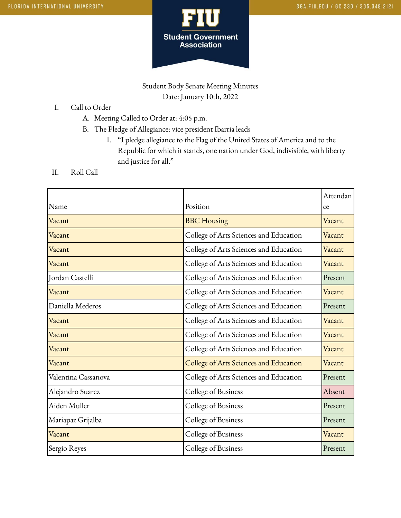

Student Body Senate Meeting Minutes Date: January 10th, 2022

- I. Call to Order
	- A. Meeting Called to Order at: 4:05 p.m.
	- B. The Pledge of Allegiance: vice president Ibarria leads
		- 1. "I pledge allegiance to the Flag of the United States of America and to the Republic for which it stands, one nation under God, indivisible, with liberty and justice for all."
- II. Roll Call

|                     |                                        | Attendan |
|---------------------|----------------------------------------|----------|
| Name                | Position                               | ce       |
| Vacant              | <b>BBC</b> Housing                     | Vacant   |
| Vacant              | College of Arts Sciences and Education | Vacant   |
| Vacant              | College of Arts Sciences and Education | Vacant   |
| Vacant              | College of Arts Sciences and Education | Vacant   |
| Jordan Castelli     | College of Arts Sciences and Education | Present  |
| Vacant              | College of Arts Sciences and Education | Vacant   |
| Daniella Mederos    | College of Arts Sciences and Education | Present  |
| Vacant              | College of Arts Sciences and Education | Vacant   |
| Vacant              | College of Arts Sciences and Education | Vacant   |
| Vacant              | College of Arts Sciences and Education | Vacant   |
| Vacant              | College of Arts Sciences and Education | Vacant   |
| Valentina Cassanova | College of Arts Sciences and Education | Present  |
| Alejandro Suarez    | College of Business                    | Absent   |
| Aiden Muller        | College of Business                    | Present  |
| Mariapaz Grijalba   | College of Business                    | Present  |
| Vacant              | College of Business                    | Vacant   |
| Sergio Reyes        | College of Business                    | Present  |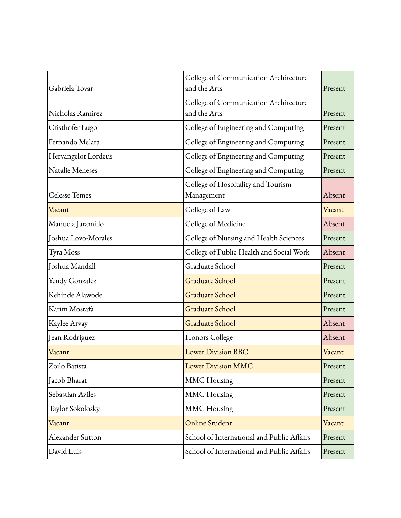| Gabriela Tovar       | College of Communication Architecture<br>and the Arts | Present |
|----------------------|-------------------------------------------------------|---------|
|                      | College of Communication Architecture                 |         |
| Nicholas Ramirez     | and the Arts                                          | Present |
| Cristhofer Lugo      | College of Engineering and Computing                  | Present |
| Fernando Melara      | College of Engineering and Computing                  | Present |
| Hervangelot Lordeus  | College of Engineering and Computing                  | Present |
| Natalie Meneses      | College of Engineering and Computing                  | Present |
| <b>Celesse Temes</b> | College of Hospitality and Tourism<br>Management      | Absent  |
| Vacant               | College of Law                                        | Vacant  |
| Manuela Jaramillo    | College of Medicine                                   | Absent  |
| Joshua Lovo-Morales  | College of Nursing and Health Sciences                | Present |
| Tyra Moss            | College of Public Health and Social Work              | Absent  |
| Joshua Mandall       | Graduate School                                       | Present |
| Yendy Gonzalez       | <b>Graduate School</b>                                | Present |
| Kehinde Alawode      | <b>Graduate School</b>                                | Present |
| Karim Mostafa        | <b>Graduate School</b>                                | Present |
| Kaylee Arvay         | <b>Graduate School</b>                                | Absent  |
| Jean Rodriguez       | Honors College                                        | Absent  |
| Vacant               | <b>Lower Division BBC</b>                             | Vacant  |
| Zoilo Batista        | <b>Lower Division MMC</b>                             | Present |
| Jacob Bharat         | <b>MMC</b> Housing                                    | Present |
| Sebastian Aviles     | <b>MMC</b> Housing                                    | Present |
| Taylor Sokolosky     | <b>MMC</b> Housing                                    | Present |
| Vacant               | Online Student                                        | Vacant  |
| Alexander Sutton     | School of International and Public Affairs            | Present |
| David Luis           | School of International and Public Affairs            | Present |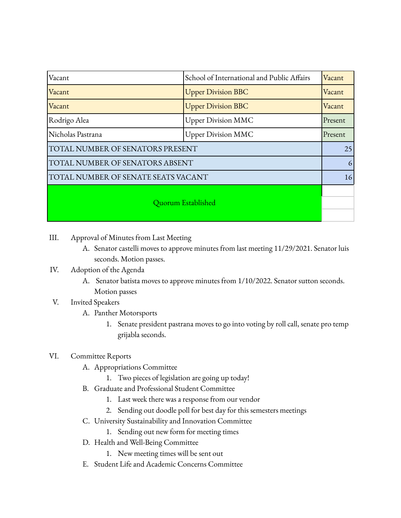| Vacant                              | School of International and Public Affairs | Vacant  |
|-------------------------------------|--------------------------------------------|---------|
| Vacant                              | <b>Upper Division BBC</b>                  | Vacant  |
| Vacant                              | <b>Upper Division BBC</b>                  | Vacant  |
| Rodrigo Alea                        | <b>Upper Division MMC</b>                  | Present |
| Nicholas Pastrana                   | <b>Upper Division MMC</b>                  | Present |
| TOTAL NUMBER OF SENATORS PRESENT    |                                            | 25      |
| TOTAL NUMBER OF SENATORS ABSENT     |                                            | 6       |
| TOTAL NUMBER OF SENATE SEATS VACANT |                                            | 16      |
| Quorum Established                  |                                            |         |

- III. Approval of Minutes from Last Meeting
	- A. Senator castelli moves to approve minutes from last meeting 11/29/2021. Senator luis seconds. Motion passes.

# IV. Adoption of the Agenda

A. Senator batista moves to approve minutes from 1/10/2022. Senator sutton seconds. Motion passes

# V. Invited Speakers

- A. Panther Motorsports
	- 1. Senate president pastrana moves to go into voting by roll call, senate pro temp grijabla seconds.

# VI. Committee Reports

- A. Appropriations Committee
	- 1. Two pieces of legislation are going up today!
- B. Graduate and Professional Student Committee
	- 1. Last week there was a response from our vendor
	- 2. Sending out doodle poll for best day for this semesters meetings
- C. University Sustainability and Innovation Committee
	- 1. Sending out new form for meeting times
- D. Health and Well-Being Committee
	- 1. New meeting times will be sent out
- E. Student Life and Academic Concerns Committee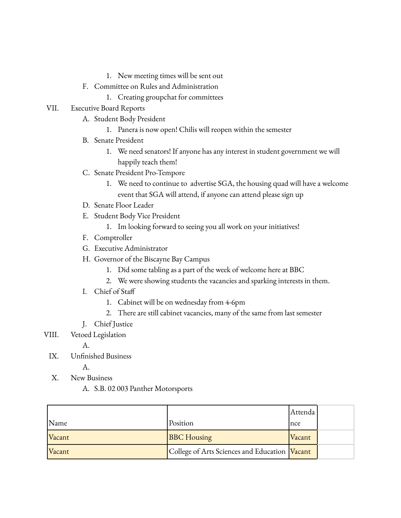- 1. New meeting times will be sent out
- F. Committee on Rules and Administration
	- 1. Creating groupchat for committees

### VII. Executive Board Reports

- A. Student Body President
	- 1. Panera is now open! Chilis will reopen within the semester
- B. Senate President
	- 1. We need senators! If anyone has any interest in student government we will happily teach them!
- C. Senate President Pro-Tempore
	- 1. We need to continue to advertise SGA, the housing quad will have a welcome event that SGA will attend, if anyone can attend please sign up
- D. Senate Floor Leader
- E. Student Body Vice President
	- 1. Im looking forward to seeing you all work on your initiatives!
- F. Comptroller
- G. Executive Administrator
- H. Governor of the Biscayne Bay Campus
	- 1. Did some tabling as a part of the week of welcome here at BBC
	- 2. We were showing students the vacancies and sparking interests in them.
- I. Chief of Staff
	- 1. Cabinet will be on wednesday from 4-6pm
	- 2. There are still cabinet vacancies, many of the same from last semester
- J. Chief Justice
- VIII. Vetoed Legislation

A.

IX. Unfinished Business

A.

X. New Business

#### A. S.B. 02 003 Panther Motorsports

|        |                                               | Attenda |  |
|--------|-----------------------------------------------|---------|--|
| Name   | Position                                      | Ince    |  |
| Vacant | <b>BBC</b> Housing                            | Vacant  |  |
| Vacant | College of Arts Sciences and Education Vacant |         |  |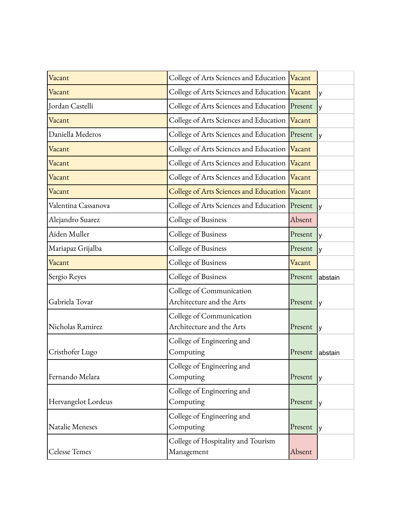| Vacant              | College of Arts Sciences and Education Vacant         |         |              |
|---------------------|-------------------------------------------------------|---------|--------------|
| Vacant              | College of Arts Sciences and Education                | Vacant  | y            |
| Jordan Castelli     | College of Arts Sciences and Education                | Present | I٧           |
| Vacant              | College of Arts Sciences and Education                | Vacant  |              |
| Daniella Mederos    | College of Arts Sciences and Education Present        |         | I٧           |
| Vacant              | College of Arts Sciences and Education                | Vacant  |              |
| Vacant              | College of Arts Sciences and Education                | Vacant  |              |
| Vacant              | College of Arts Sciences and Education                | Vacant  |              |
| Vacant              | College of Arts Sciences and Education                | Vacant  |              |
| Valentina Cassanova | College of Arts Sciences and Education Present        |         | I٧           |
| Alejandro Suarez    | College of Business                                   | Absent  |              |
| Aiden Muller        | College of Business                                   | Present | lу           |
| Mariapaz Grijalba   | College of Business                                   | Present | <b>y</b>     |
| Vacant              | College of Business                                   | Vacant  |              |
| Sergio Reyes        | College of Business                                   | Present | abstain      |
| Gabriela Tovar      | College of Communication<br>Architecture and the Arts | Present | $\mathsf{y}$ |
| Nicholas Ramirez    | College of Communication<br>Architecture and the Arts | Present | y            |
| Cristhofer Lugo     | College of Engineering and<br>Computing               | Present | abstain      |
| Fernando Melara     | College of Engineering and<br>Computing               | Present | ١v           |
| Hervangelot Lordeus | College of Engineering and<br>Computing               | Present | l y          |
| Natalie Meneses     | College of Engineering and<br>Computing               | Present | l y          |
| Celesse Temes       | College of Hospitality and Tourism<br>Management      | Absent  |              |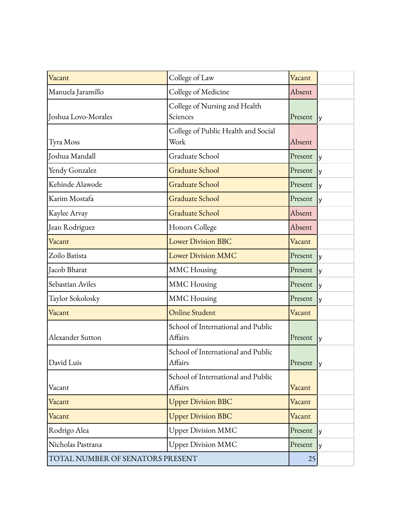| Vacant                           | College of Law                                | Vacant    |                        |
|----------------------------------|-----------------------------------------------|-----------|------------------------|
| Manuela Jaramillo                | College of Medicine                           | Absent    |                        |
| Joshua Lovo-Morales              | College of Nursing and Health<br>Sciences     | Present   | <b>y</b>               |
| Tyra Moss                        | College of Public Health and Social<br>Work   | Absent    |                        |
| Joshua Mandall                   | Graduate School                               | Present   | <b>y</b>               |
| Yendy Gonzalez                   | <b>Graduate School</b>                        | Present   | I٧                     |
| Kehinde Alawode                  | <b>Graduate School</b>                        | Present   | y                      |
| Karim Mostafa                    | <b>Graduate School</b>                        | Present   | $\mathsf{I}\mathsf{v}$ |
| Kaylee Arvay                     | <b>Graduate School</b>                        | Absent    |                        |
| Jean Rodriguez                   | Honors College                                | Absent    |                        |
| Vacant                           | <b>Lower Division BBC</b>                     | Vacant    |                        |
| Zoilo Batista                    | <b>Lower Division MMC</b>                     | Present   | y                      |
| Jacob Bharat                     | <b>MMC</b> Housing                            | Present   | <b>y</b>               |
| Sebastian Aviles                 | <b>MMC</b> Housing                            | Present   | ١v                     |
| Taylor Sokolosky                 | <b>MMC</b> Housing                            | Present   | <b>y</b>               |
| Vacant                           | <b>Online Student</b>                         | Vacant    |                        |
| Alexander Sutton                 | School of International and Public<br>Affairs | Present   | y                      |
| David Luis                       | School of International and Public<br>Affairs | Present y |                        |
| Vacant                           | School of International and Public<br>Affairs | Vacant    |                        |
| Vacant                           | <b>Upper Division BBC</b>                     | Vacant    |                        |
| Vacant                           | <b>Upper Division BBC</b>                     | Vacant    |                        |
| Rodrigo Alea                     | <b>Upper Division MMC</b>                     | Present   | I۷                     |
| Nicholas Pastrana                | <b>Upper Division MMC</b>                     | Present   | y                      |
| TOTAL NUMBER OF SENATORS PRESENT |                                               | 25        |                        |